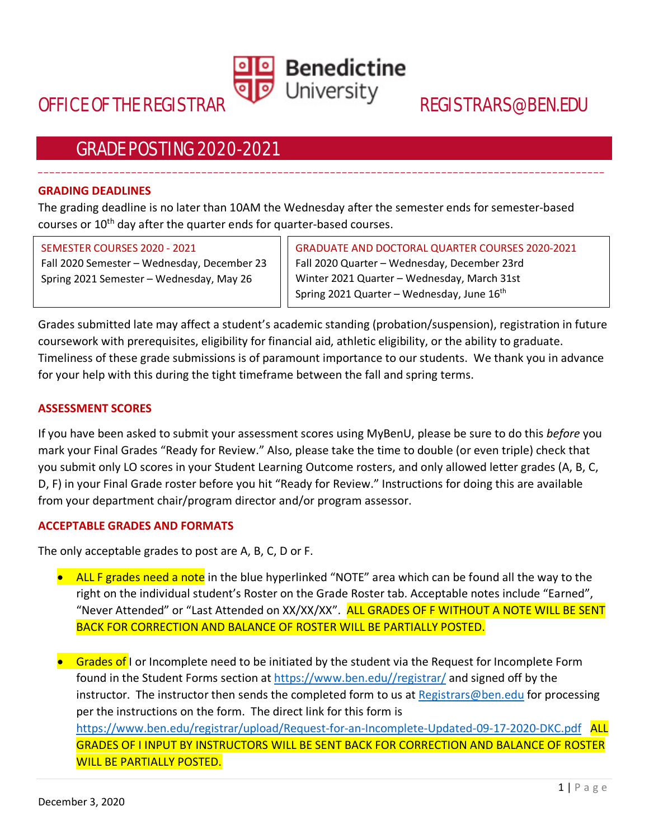

\_\_\_\_\_\_\_\_\_\_\_\_\_\_\_\_\_\_\_\_\_\_\_\_\_\_\_\_\_\_\_\_\_\_\_\_\_\_\_\_\_\_\_\_\_\_\_\_\_\_\_\_\_\_\_\_\_\_\_\_\_\_\_\_\_\_\_\_\_\_\_\_\_\_\_\_\_\_\_\_\_\_\_\_\_\_\_\_\_\_\_\_\_\_\_\_\_

# GRADE POSTING 2020-2021

#### **GRADING DEADLINES**

The grading deadline is no later than 10AM the Wednesday after the semester ends for semester-based courses or 10<sup>th</sup> day after the quarter ends for quarter-based courses.

#### SEMESTER COURSES 2020 - 2021

Fall 2020 Semester – Wednesday, December 23 Spring 2021 Semester – Wednesday, May 26

GRADUATE AND DOCTORAL QUARTER COURSES 2020-2021 Fall 2020 Quarter – Wednesday, December 23rd Winter 2021 Quarter – Wednesday, March 31st Spring 2021 Quarter – Wednesday, June 16th

Grades submitted late may affect a student's academic standing (probation/suspension), registration in future coursework with prerequisites, eligibility for financial aid, athletic eligibility, or the ability to graduate. Timeliness of these grade submissions is of paramount importance to our students. We thank you in advance for your help with this during the tight timeframe between the fall and spring terms.

#### **ASSESSMENT SCORES**

If you have been asked to submit your assessment scores using MyBenU, please be sure to do this *before* you mark your Final Grades "Ready for Review." Also, please take the time to double (or even triple) check that you submit only LO scores in your Student Learning Outcome rosters, and only allowed letter grades (A, B, C, D, F) in your Final Grade roster before you hit "Ready for Review." Instructions for doing this are available from your department chair/program director and/or program assessor.

#### **ACCEPTABLE GRADES AND FORMATS**

The only acceptable grades to post are A, B, C, D or F.

- ALL F grades need a note in the blue hyperlinked "NOTE" area which can be found all the way to the right on the individual student's Roster on the Grade Roster tab. Acceptable notes include "Earned", "Never Attended" or "Last Attended on XX/XX/XX". ALL GRADES OF F WITHOUT A NOTE WILL BE SENT BACK FOR CORRECTION AND BALANCE OF ROSTER WILL BE PARTIALLY POSTED.
- Grades of I or Incomplete need to be initiated by the student via the Request for Incomplete Form found in the Student Forms section at https://www.ben.edu//registrar/ and signed off by the instructor. The instructor then sends the completed form to us at Registrars@ben.edu for processing per the instructions on the form. The direct link for this form is https://www.ben.edu/registrar/upload/Request-for-an-Incomplete-Updated-09-17-2020-DKC.pdf ALL GRADES OF I INPUT BY INSTRUCTORS WILL BE SENT BACK FOR CORRECTION AND BALANCE OF ROSTER WILL BE PARTIALLY POSTED.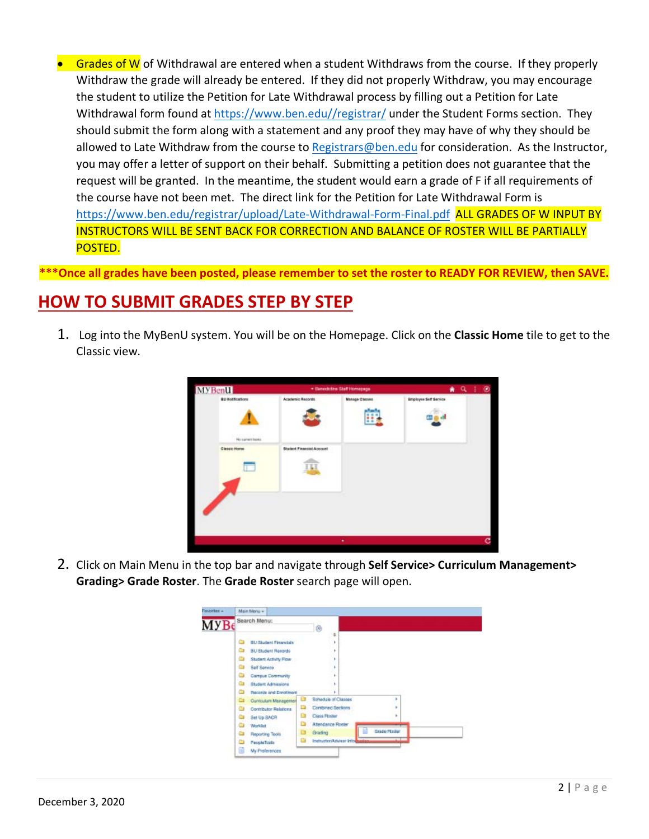Grades of W of Withdrawal are entered when a student Withdraws from the course. If they properly Withdraw the grade will already be entered. If they did not properly Withdraw, you may encourage the student to utilize the Petition for Late Withdrawal process by filling out a Petition for Late Withdrawal form found at https://www.ben.edu//registrar/ under the Student Forms section. They should submit the form along with a statement and any proof they may have of why they should be allowed to Late Withdraw from the course to Registrars@ben.edu for consideration. As the Instructor, you may offer a letter of support on their behalf. Submitting a petition does not guarantee that the request will be granted. In the meantime, the student would earn a grade of F if all requirements of the course have not been met. The direct link for the Petition for Late Withdrawal Form is https://www.ben.edu/registrar/upload/Late-Withdrawal-Form-Final.pdf ALL GRADES OF W INPUT BY INSTRUCTORS WILL BE SENT BACK FOR CORRECTION AND BALANCE OF ROSTER WILL BE PARTIALLY POSTED.

**\*\*\*Once all grades have been posted, please remember to set the roster to READY FOR REVIEW, then SAVE.**

# **HOW TO SUBMIT GRADES STEP BY STEP**

1. Log into the MyBenU system. You will be on the Homepage. Click on the **Classic Home** tile to get to the Classic view.



2. Click on Main Menu in the top bar and navigate through **Self Service> Curriculum Management> Grading> Grade Roster**. The **Grade Roster** search page will open.

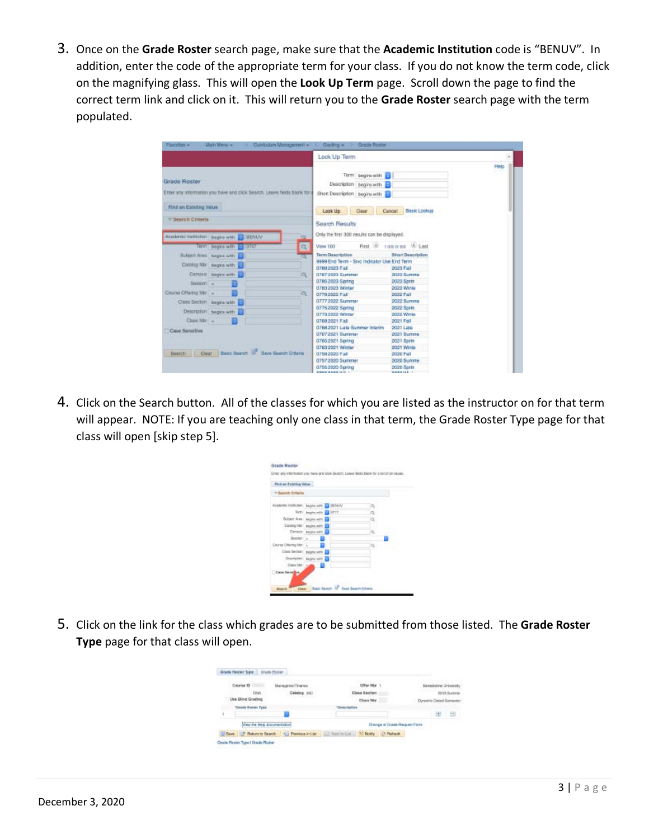3. Once on the **Grade Roster** search page, make sure that the **Academic Institution** code is "BENUV". In addition, enter the code of the appropriate term for your class. If you do not know the term code, click on the magnifying glass. This will open the **Look Up Term** page. Scroll down the page to find the correct term link and click on it. This will return you to the **Grade Roster** search page with the term populated.

|                                  |                                                                         | Look Up Term                                                                 |                                |      |
|----------------------------------|-------------------------------------------------------------------------|------------------------------------------------------------------------------|--------------------------------|------|
| Grade Roster                     | Enter any information you have and click Search. Leave fields blank for | Term beginn with<br>Description begins with<br>Short Description begins with |                                | Help |
| Find an Esisting Velus           |                                                                         | Look Up<br>Clear                                                             | Canoel<br><b>Basic Lookup</b>  |      |
| * Search Criteria                |                                                                         | Search Results                                                               |                                |      |
| Academic Institution bogins with | <b>HENUV</b><br><b>VS</b>                                               | Only the first 300 results can be displayed.                                 |                                |      |
|                                  | <b>a</b><br>Term begins with<br><b>KOZAY</b>                            | View 100                                                                     | First (8) 1-800 of 300 10 Last |      |
|                                  | Subject Ates begins with                                                | Term Description                                                             | <b>Short Description</b>       |      |
|                                  | Catalog Nbr begins with                                                 | 9999 End Term - Sivic Indicator Use End Term                                 |                                |      |
|                                  | Campus: begins with                                                     | 0780 2023 Fall<br>0787 2023 Summer                                           | 2023 Fall<br>2023 Summe        |      |
|                                  | lQ.                                                                     | 0786 2023 Spring                                                             | 2023 Sprin                     |      |
| Season -                         |                                                                         | 0783 2023 Winter                                                             | SANY 6500                      |      |
| Course Offering Nbr - -          | kas:                                                                    | 0779 2022 Fall                                                               | <b>2002 Fall</b>               |      |
|                                  | Class Section begins with                                               | 0777 2022 Summer                                                             | 2022 Summe                     |      |
|                                  |                                                                         | 0775 2022 Soring                                                             | 2022 Sorin                     |      |
|                                  | Description begins with                                                 | 0779 0000 Winter                                                             | 0000 Winte                     |      |
| Class No -                       |                                                                         | 0769 2021 F.M.                                                               | 2021 Fall                      |      |
| Cass Sensitive                   |                                                                         | 0768 2021 Late Summer Interim                                                | 2021 Late                      |      |
|                                  |                                                                         | 07672021 Summer                                                              | 2021 Summe                     |      |
|                                  |                                                                         | 0765 2021 Spring                                                             | 2021 Sprint                    |      |
| Search                           | Clear Busic Search D. Save Search Criteria                              | 0763 2021 Winner<br>0759 2020 F.M.                                           | 2021 Winte<br>2020 Patt        |      |
|                                  |                                                                         | 07572020 Summer                                                              | 2020 Summe                     |      |
|                                  |                                                                         | 0755 2020 Spring                                                             | 2020 Sorin                     |      |
|                                  |                                                                         | <b>DRIVE BOOK INC.</b>                                                       | <b>REMOVAL TO</b>              |      |

4. Click on the Search button. All of the classes for which you are listed as the instructor on for that term will appear. NOTE: If you are teaching only one class in that term, the Grade Roster Type page for that class will open [skip step 5].

| First on Exhibit Value   |                                                               |    |
|--------------------------|---------------------------------------------------------------|----|
| * Search Erlens          |                                                               |    |
|                          | アート・レース アーマングリング<br>Academic Institutes: backs with ED BEALTY | ä, |
|                          | TOWN Amples with 19 OFFT                                      | ü, |
| Schlerf Area Legion with |                                                               | a, |
|                          | Catalog Nor., begins with 199                                 |    |
|                          | Carross bigos eits                                            | a, |
| Separate a               |                                                               |    |
| Course Offering Mr. 4    |                                                               |    |
|                          | Class Sector: begins with 19                                  |    |
|                          | Georgoter: begin ezh a                                        |    |
| Class Mar. 44            |                                                               |    |
| Case Swingby             |                                                               |    |

5. Click on the link for the class which grades are to be submitted from those listed. The **Grade Roster Type** page for that class will open.

| <b>Course ID</b>          | Managemal Finance         | <b>CIRTIAN RADIAN</b>                                   | <b>Ilensdictine University</b> |
|---------------------------|---------------------------|---------------------------------------------------------|--------------------------------|
|                           | Catalog 533               | Class Section                                           | 7019 Suitemer                  |
| Use Dlind Grading         | and the state of the same | Clink Min                                               | Dynamic Dated Semester         |
| "Execute Muscles: Typic   |                           |                                                         |                                |
|                           |                           |                                                         | $\mathbb{R}$<br>Ð              |
| Mary the Help Annumentaly |                           | Charge of Grade Request Form                            |                                |
| Save Tradum to Search     |                           | + Peeksa in List List North List 22 North<br>C1 Flehwah |                                |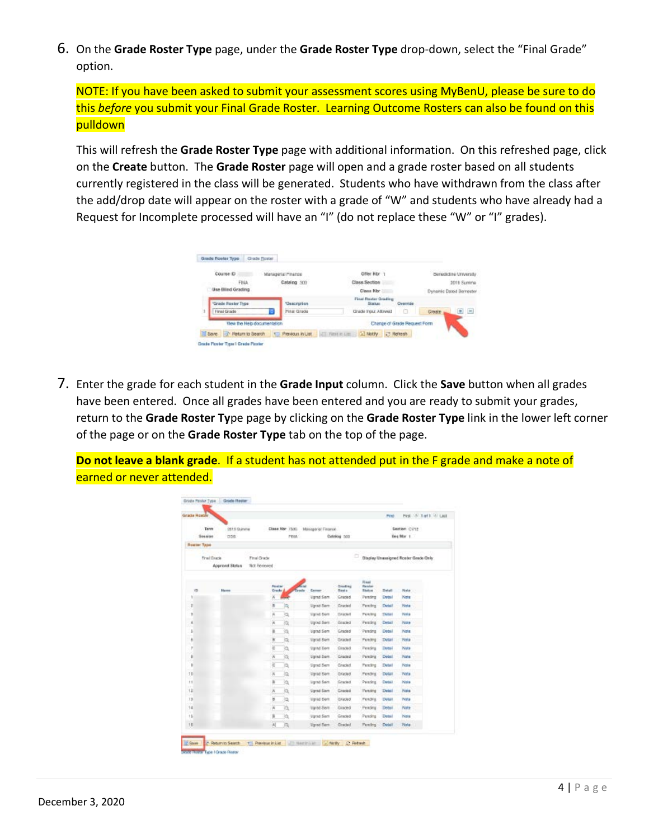6. On the **Grade Roster Type** page, under the **Grade Roster Type** drop-down, select the "Final Grade" option.

NOTE: If you have been asked to submit your assessment scores using MyBenU, please be sure to do this *before* you submit your Final Grade Roster. Learning Outcome Rosters can also be found on this pulldown

This will refresh the **Grade Roster Type** page with additional information. On this refreshed page, click on the **Create** button. The **Grade Roster** page will open and a grade roster based on all students currently registered in the class will be generated. Students who have withdrawn from the class after the add/drop date will appear on the roster with a grade of "W" and students who have already had a Request for Incomplete processed will have an "I" (do not replace these "W" or "I" grades).

| Course D                 |                             | Managerial Pinande  | Offer Nbr                                    |                   |               | <b>Benedictine University</b> |
|--------------------------|-----------------------------|---------------------|----------------------------------------------|-------------------|---------------|-------------------------------|
| <b>FINA</b>              |                             | Catalog 300         | Class Section                                |                   |               | <b>2018 Summer</b>            |
| Use Blind Grading        |                             |                     | Class Nbr                                    |                   |               | Dynamic Dated Bernester       |
| "Grade Roster Type       |                             | <b>Description</b>  | <b>First Ruster Grading</b><br><b>Skatus</b> | Overnide          |               |                               |
| Final Grade              |                             | Pinal Grade         | Ghade Input Allowed                          |                   | <b>Drawin</b> | $\equiv$                      |
|                          | View the Help documentation |                     | Change of Grade Request Form                 |                   |               |                               |
| Save of Return to Search |                             | T. Previous in List | [a] Notify<br><b>THREE LIST</b>              | <b>22 Refresh</b> |               |                               |

7. Enter the grade for each student in the **Grade Input** column. Click the **Save** button when all grades have been entered. Once all grades have been entered and you are ready to submit your grades, return to the **Grade Roster Ty**pe page by clicking on the **Grade Roster Type** link in the lower left corner of the page or on the **Grade Roster Type** tab on the top of the page.

**Do not leave a blank grade**. If a student has not attended put in the F grade and make a note of earned or never attended.

| Security           | <b>Tents</b> | 2019 Suiteiller<br>DDS. |                               |                  | Class Nor 7505<br>PEWA | Managerial Finance | Catalog 500             |                                      |               | Section CV12<br>Beg Mar 1            |  |
|--------------------|--------------|-------------------------|-------------------------------|------------------|------------------------|--------------------|-------------------------|--------------------------------------|---------------|--------------------------------------|--|
| <b>Roster Type</b> |              |                         |                               |                  |                        |                    |                         |                                      |               |                                      |  |
|                    | Final Crack  | Approval Status         | Final Grade<br>Not Flexievied |                  |                        |                    |                         | o                                    |               | Display Unassigned Roster Grade Only |  |
| m                  |              | Hame                    |                               | Postal<br>Grade. |                        | Teache<br>Catter:  | Giadrea<br><b>Basia</b> | Fisual<br>Pietalair<br><b>Bashon</b> | <b>Betall</b> | Nata                                 |  |
| r                  |              |                         |                               | Х                |                        | <b>Vanid Sem</b>   | Graded                  | Persing                              | <b>Detail</b> | Note                                 |  |
| ž                  |              |                         |                               | в                | a                      | <b>Uprad Sern</b>  | <b>Dracked</b>          | Fersing                              | Detail        | <b>Pipta</b>                         |  |
| ×                  |              |                         |                               | jš,              | io,                    | varied Sam         | <b>Dirigonal</b>        | Pelefing                             | <b>Dutart</b> | <b>Note</b>                          |  |
| ×                  |              |                         |                               | W                | a                      | Utpract Sterm      | Graded                  | Peacing                              | Detail        | Note                                 |  |
| ь                  |              |                         |                               | в                | jä,                    | Vand Sem           | Graphid                 | Persing                              | Detail        | Note                                 |  |
| ٨                  |              |                         |                               | в                | ja                     | <b>Varied Semi</b> | <b>Univoid</b>          | Feading                              | <b>Dytail</b> | <b>Title</b>                         |  |
| ×                  |              |                         |                               | ë                | ìà,                    | <b>Variet Sem</b>  | <b>Gracied</b>          | Fending                              | Detail        | <b>NMH</b>                           |  |
| ٠                  |              |                         |                               | Ж                | 微                      | Ugrad Sem          | Graphid                 | Pending                              | Detail        | Nate                                 |  |
| ×                  |              |                         |                               | c                | 'n                     | <b>Stand Sem</b>   | Cracked                 | Perciing                             | Detail        | <b>Posta</b>                         |  |
| 10                 |              |                         |                               | W                | 熵                      | Visited Semi       | <b>Chrasted</b>         | <b>Perchip</b>                       | <b>Dotal</b>  | Tvora                                |  |
| 11                 |              |                         |                               | Y)               | ĭä,                    | light Sen.         | Graphid                 | Peading                              | Detail        | Nais                                 |  |
| 12                 |              |                         |                               | ×                | k                      | <b>Vanid Sam</b>   | Graded                  | Penzing                              | <b>Detail</b> | Note                                 |  |
| 13                 |              |                         |                               | B                | <b>la</b>              | Visited Slere.     | <b>Original</b>         | Perchipt                             | <b>DOM</b>    | PVM a                                |  |
| 14                 |              |                         |                               | W                | ĭá                     | transd Serre       | Giaced                  | Felsting                             | Detail        | Nate                                 |  |
| 15                 |              |                         |                               | 后                | k                      | varied Sem         | Graded                  | Persoling                            | Dotal         | hos                                  |  |
| 18                 |              |                         |                               | W                | A                      | ligned Sem         | <b>Ciracled</b>         | <b>Fending</b>                       | <b>Detail</b> | Note:                                |  |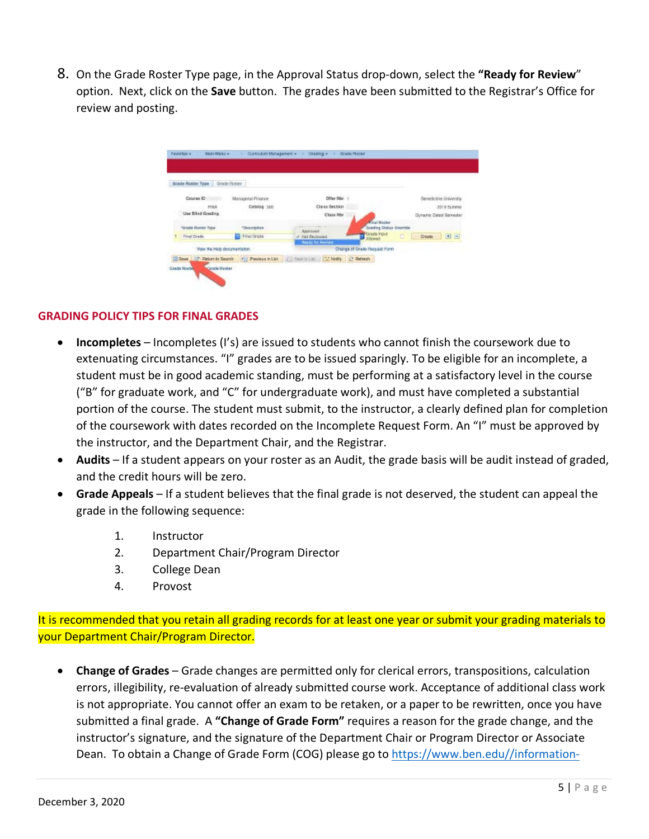8. On the Grade Roster Type page, in the Approval Status drop-down, select the **"Ready for Review**" option. Next, click on the **Save** button. The grades have been submitted to the Registrar's Office for review and posting.



#### **GRADING POLICY TIPS FOR FINAL GRADES**

- **Incompletes**  Incompletes (I's) are issued to students who cannot finish the coursework due to extenuating circumstances. "I" grades are to be issued sparingly. To be eligible for an incomplete, a student must be in good academic standing, must be performing at a satisfactory level in the course ("B" for graduate work, and "C" for undergraduate work), and must have completed a substantial portion of the course. The student must submit, to the instructor, a clearly defined plan for completion of the coursework with dates recorded on the Incomplete Request Form. An "I" must be approved by the instructor, and the Department Chair, and the Registrar.
- **Audits** If a student appears on your roster as an Audit, the grade basis will be audit instead of graded, and the credit hours will be zero.
- **Grade Appeals** If a student believes that the final grade is not deserved, the student can appeal the grade in the following sequence:
	- 1. Instructor
	- 2. Department Chair/Program Director
	- 3. College Dean
	- 4. Provost

It is recommended that you retain all grading records for at least one year or submit your grading materials to your Department Chair/Program Director.

• **Change of Grades** – Grade changes are permitted only for clerical errors, transpositions, calculation errors, illegibility, re-evaluation of already submitted course work. Acceptance of additional class work is not appropriate. You cannot offer an exam to be retaken, or a paper to be rewritten, once you have submitted a final grade. A **"Change of Grade Form"** requires a reason for the grade change, and the instructor's signature, and the signature of the Department Chair or Program Director or Associate Dean. To obtain a Change of Grade Form (COG) please go to https://www.ben.edu//information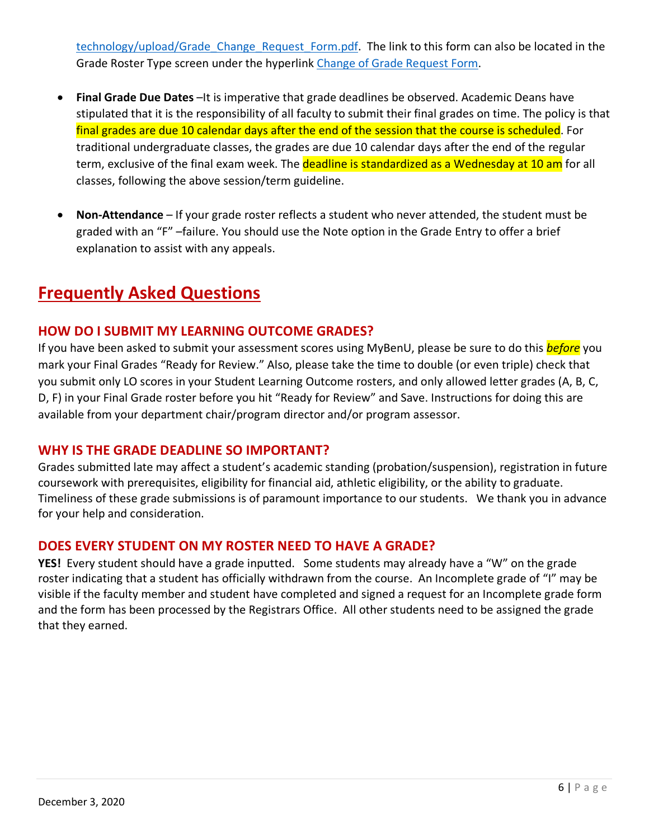technology/upload/Grade Change Request Form.pdf. The link to this form can also be located in the Grade Roster Type screen under the hyperlink Change of Grade Request Form.

- **Final Grade Due Dates** –It is imperative that grade deadlines be observed. Academic Deans have stipulated that it is the responsibility of all faculty to submit their final grades on time. The policy is that final grades are due 10 calendar days after the end of the session that the course is scheduled. For traditional undergraduate classes, the grades are due 10 calendar days after the end of the regular term, exclusive of the final exam week. The **deadline is standardized as a Wednesday at 10 am** for all classes, following the above session/term guideline.
- **Non-Attendance** If your grade roster reflects a student who never attended, the student must be graded with an "F" –failure. You should use the Note option in the Grade Entry to offer a brief explanation to assist with any appeals.

# **Frequently Asked Questions**

# **HOW DO I SUBMIT MY LEARNING OUTCOME GRADES?**

If you have been asked to submit your assessment scores using MyBenU, please be sure to do this *before* you mark your Final Grades "Ready for Review." Also, please take the time to double (or even triple) check that you submit only LO scores in your Student Learning Outcome rosters, and only allowed letter grades (A, B, C, D, F) in your Final Grade roster before you hit "Ready for Review" and Save. Instructions for doing this are available from your department chair/program director and/or program assessor.

## **WHY IS THE GRADE DEADLINE SO IMPORTANT?**

Grades submitted late may affect a student's academic standing (probation/suspension), registration in future coursework with prerequisites, eligibility for financial aid, athletic eligibility, or the ability to graduate. Timeliness of these grade submissions is of paramount importance to our students. We thank you in advance for your help and consideration.

## **DOES EVERY STUDENT ON MY ROSTER NEED TO HAVE A GRADE?**

**YES!** Every student should have a grade inputted. Some students may already have a "W" on the grade roster indicating that a student has officially withdrawn from the course. An Incomplete grade of "I" may be visible if the faculty member and student have completed and signed a request for an Incomplete grade form and the form has been processed by the Registrars Office. All other students need to be assigned the grade that they earned.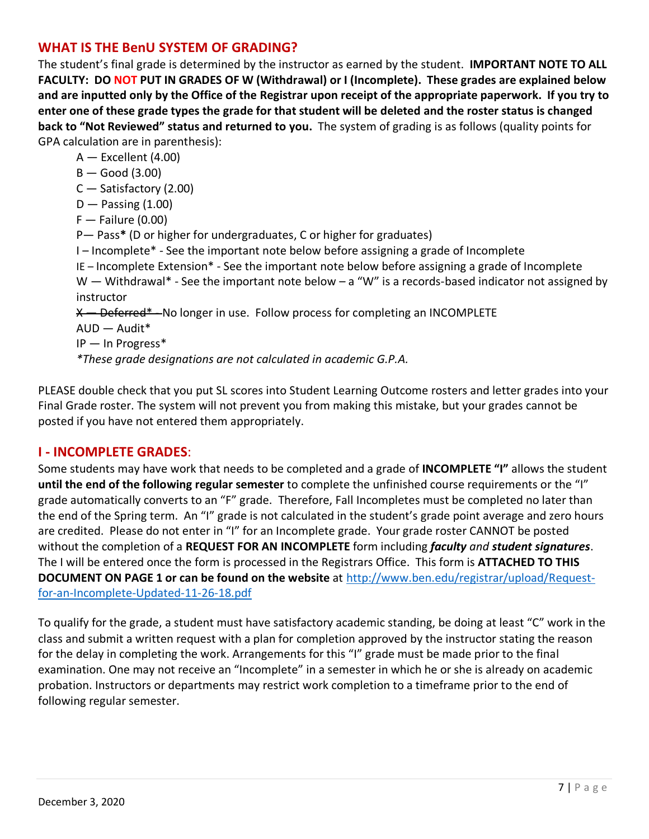# **WHAT IS THE BenU SYSTEM OF GRADING?**

The student's final grade is determined by the instructor as earned by the student. **IMPORTANT NOTE TO ALL FACULTY: DO NOT PUT IN GRADES OF W (Withdrawal) or I (Incomplete). These grades are explained below and are inputted only by the Office of the Registrar upon receipt of the appropriate paperwork. If you try to enter one of these grade types the grade for that student will be deleted and the roster status is changed back to "Not Reviewed" status and returned to you.** The system of grading is as follows (quality points for GPA calculation are in parenthesis):

A — Excellent (4.00)

 $B -$  Good (3.00)

C — Satisfactory (2.00)

 $D -$  Passing  $(1.00)$ 

 $F -$  Failure (0.00)

P— Pass**\*** (D or higher for undergraduates, C or higher for graduates)

I – Incomplete\* - See the important note below before assigning a grade of Incomplete

IE – Incomplete Extension\* - See the important note below before assigning a grade of Incomplete

 $W$  – Withdrawal\* - See the important note below – a "W" is a records-based indicator not assigned by instructor

X — Deferred\* - No longer in use. Follow process for completing an INCOMPLETE AUD — Audit\*

IP — In Progress\*

*\*These grade designations are not calculated in academic G.P.A.*

PLEASE double check that you put SL scores into Student Learning Outcome rosters and letter grades into your Final Grade roster. The system will not prevent you from making this mistake, but your grades cannot be posted if you have not entered them appropriately.

## **I - INCOMPLETE GRADES**:

Some students may have work that needs to be completed and a grade of **INCOMPLETE "I"** allows the student **until the end of the following regular semester** to complete the unfinished course requirements or the "I" grade automatically converts to an "F" grade. Therefore, Fall Incompletes must be completed no later than the end of the Spring term. An "I" grade is not calculated in the student's grade point average and zero hours are credited. Please do not enter in "I" for an Incomplete grade. Your grade roster CANNOT be posted without the completion of a **REQUEST FOR AN INCOMPLETE** form including *faculty and student signatures*. The I will be entered once the form is processed in the Registrars Office. This form is **ATTACHED TO THIS DOCUMENT ON PAGE 1 or can be found on the website** at http://www.ben.edu/registrar/upload/Requestfor-an-Incomplete-Updated-11-26-18.pdf

To qualify for the grade, a student must have satisfactory academic standing, be doing at least "C" work in the class and submit a written request with a plan for completion approved by the instructor stating the reason for the delay in completing the work. Arrangements for this "I" grade must be made prior to the final examination. One may not receive an "Incomplete" in a semester in which he or she is already on academic probation. Instructors or departments may restrict work completion to a timeframe prior to the end of following regular semester.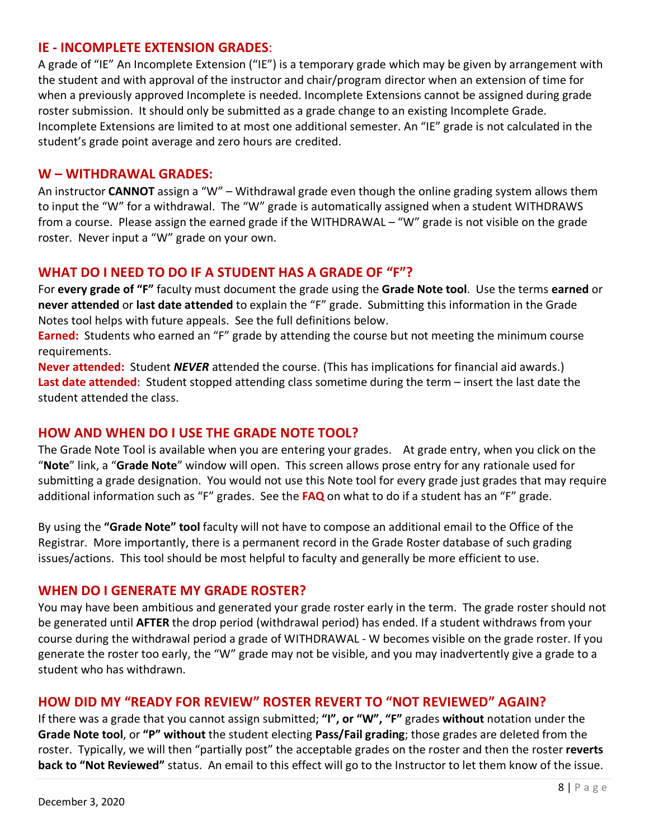#### **IE - INCOMPLETE EXTENSION GRADES**:

A grade of "IE" An Incomplete Extension ("IE") is a temporary grade which may be given by arrangement with the student and with approval of the instructor and chair/program director when an extension of time for when a previously approved Incomplete is needed. Incomplete Extensions cannot be assigned during grade roster submission. It should only be submitted as a grade change to an existing Incomplete Grade. Incomplete Extensions are limited to at most one additional semester. An "IE" grade is not calculated in the student's grade point average and zero hours are credited.

#### **W – WITHDRAWAL GRADES:**

An instructor **CANNOT** assign a "W" – Withdrawal grade even though the online grading system allows them to input the "W" for a withdrawal. The "W" grade is automatically assigned when a student WITHDRAWS from a course. Please assign the earned grade if the WITHDRAWAL – "W" grade is not visible on the grade roster. Never input a "W" grade on your own.

# **WHAT DO I NEED TO DO IF A STUDENT HAS A GRADE OF "F"?**

For **every grade of "F"** faculty must document the grade using the **Grade Note tool**. Use the terms **earned** or **never attended** or **last date attended** to explain the "F" grade. Submitting this information in the Grade Notes tool helps with future appeals. See the full definitions below.

**Earned:** Students who earned an "F" grade by attending the course but not meeting the minimum course requirements.

**Never attended:** Student *NEVER* attended the course. (This has implications for financial aid awards.) **Last date attended**: Student stopped attending class sometime during the term – insert the last date the student attended the class.

## **HOW AND WHEN DO I USE THE GRADE NOTE TOOL?**

The Grade Note Tool is available when you are entering your grades. At grade entry, when you click on the "**Note**" link, a "**Grade Note**" window will open. This screen allows prose entry for any rationale used for submitting a grade designation. You would not use this Note tool for every grade just grades that may require additional information such as "F" grades. See the **FAQ** on what to do if a student has an "F" grade.

By using the **"Grade Note" tool** faculty will not have to compose an additional email to the Office of the Registrar. More importantly, there is a permanent record in the Grade Roster database of such grading issues/actions. This tool should be most helpful to faculty and generally be more efficient to use.

#### **WHEN DO I GENERATE MY GRADE ROSTER?**

You may have been ambitious and generated your grade roster early in the term. The grade roster should not be generated until **AFTER** the drop period (withdrawal period) has ended. If a student withdraws from your course during the withdrawal period a grade of WITHDRAWAL - W becomes visible on the grade roster. If you generate the roster too early, the "W" grade may not be visible, and you may inadvertently give a grade to a student who has withdrawn.

## **HOW DID MY "READY FOR REVIEW" ROSTER REVERT TO "NOT REVIEWED" AGAIN?**

If there was a grade that you cannot assign submitted; **"I", or "W", "F"** grades **without** notation under the **Grade Note tool**, or **"P" without** the student electing **Pass/Fail grading**; those grades are deleted from the roster. Typically, we will then "partially post" the acceptable grades on the roster and then the roster **reverts back to "Not Reviewed"** status. An email to this effect will go to the Instructor to let them know of the issue.